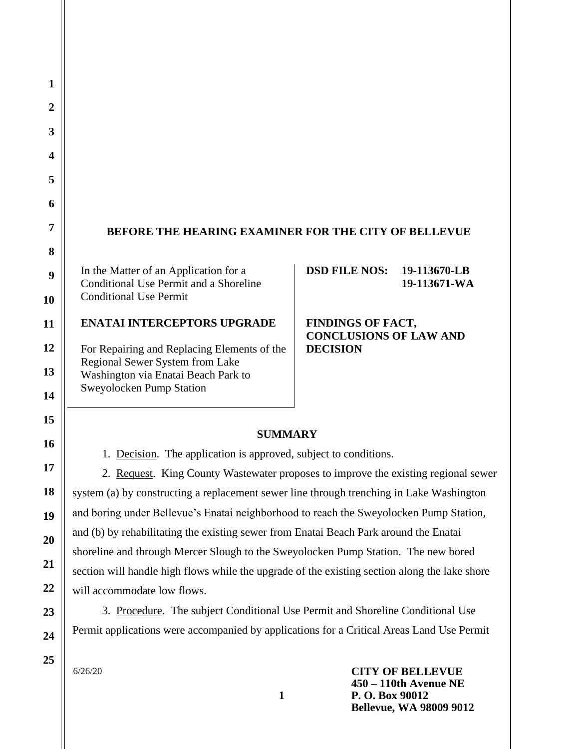# **BEFORE THE HEARING EXAMINER FOR THE CITY OF BELLEVUE**

In the Matter of an Application for a Conditional Use Permit and a Shoreline Conditional Use Permit

## **ENATAI INTERCEPTORS UPGRADE**

For Repairing and Replacing Elements of the Regional Sewer System from Lake Washington via Enatai Beach Park to Sweyolocken Pump Station

#### **DSD FILE NOS: 19-113670-LB 19-113671-WA**

### **FINDINGS OF FACT, CONCLUSIONS OF LAW AND DECISION**

#### **SUMMARY**

1. Decision. The application is approved, subject to conditions.

2. Request. King County Wastewater proposes to improve the existing regional sewer system (a) by constructing a replacement sewer line through trenching in Lake Washington and boring under Bellevue's Enatai neighborhood to reach the Sweyolocken Pump Station, and (b) by rehabilitating the existing sewer from Enatai Beach Park around the Enatai shoreline and through Mercer Slough to the Sweyolocken Pump Station. The new bored section will handle high flows while the upgrade of the existing section along the lake shore will accommodate low flows.

3. Procedure. The subject Conditional Use Permit and Shoreline Conditional Use Permit applications were accompanied by applications for a Critical Areas Land Use Permit

**1**

6/26/20

**CITY OF BELLEVUE 450 – 110th Avenue NE P. O. Box 90012 Bellevue, WA 98009 9012**

**1**

**2**

**3**

**4**

**5**

**6**

**7**

**8**

**9**

**10**

**11**

**12**

**13**

**14**

**15**

**16**

**17**

**18**

**19**

**20**

**21**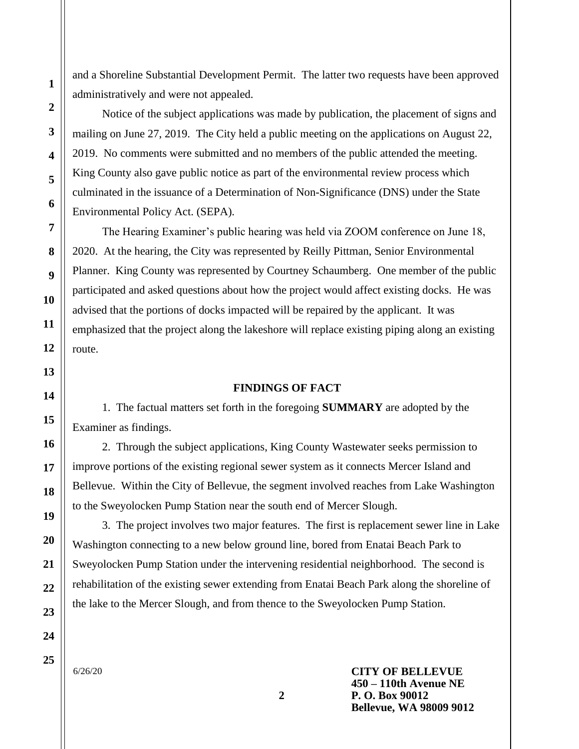and a Shoreline Substantial Development Permit. The latter two requests have been approved administratively and were not appealed.

Notice of the subject applications was made by publication, the placement of signs and mailing on June 27, 2019. The City held a public meeting on the applications on August 22, 2019. No comments were submitted and no members of the public attended the meeting. King County also gave public notice as part of the environmental review process which culminated in the issuance of a Determination of Non-Significance (DNS) under the State Environmental Policy Act. (SEPA).

The Hearing Examiner's public hearing was held via ZOOM conference on June 18, 2020. At the hearing, the City was represented by Reilly Pittman, Senior Environmental Planner. King County was represented by Courtney Schaumberg. One member of the public participated and asked questions about how the project would affect existing docks. He was advised that the portions of docks impacted will be repaired by the applicant. It was emphasized that the project along the lakeshore will replace existing piping along an existing route.

#### **FINDINGS OF FACT**

1. The factual matters set forth in the foregoing **SUMMARY** are adopted by the Examiner as findings.

2. Through the subject applications, King County Wastewater seeks permission to improve portions of the existing regional sewer system as it connects Mercer Island and Bellevue. Within the City of Bellevue, the segment involved reaches from Lake Washington to the Sweyolocken Pump Station near the south end of Mercer Slough.

3. The project involves two major features. The first is replacement sewer line in Lake Washington connecting to a new below ground line, bored from Enatai Beach Park to Sweyolocken Pump Station under the intervening residential neighborhood. The second is rehabilitation of the existing sewer extending from Enatai Beach Park along the shoreline of the lake to the Mercer Slough, and from thence to the Sweyolocken Pump Station.

6/26/20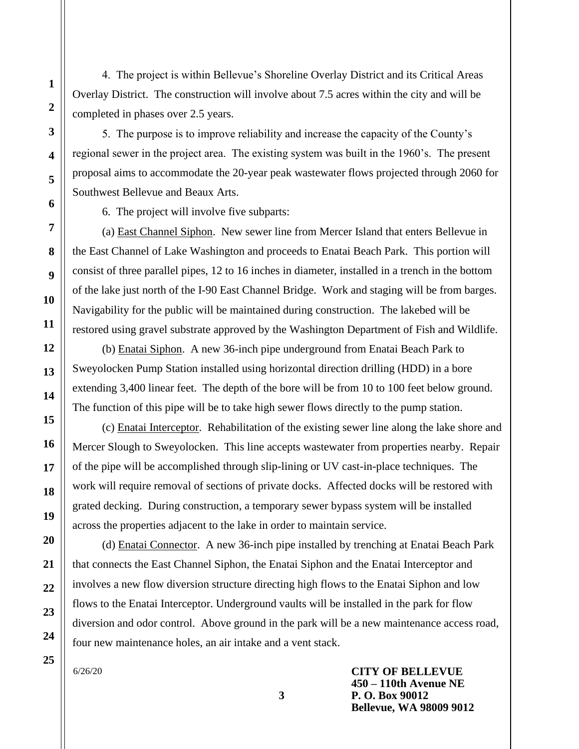4. The project is within Bellevue's Shoreline Overlay District and its Critical Areas Overlay District. The construction will involve about 7.5 acres within the city and will be completed in phases over 2.5 years.

5. The purpose is to improve reliability and increase the capacity of the County's regional sewer in the project area. The existing system was built in the 1960's. The present proposal aims to accommodate the 20-year peak wastewater flows projected through 2060 for Southwest Bellevue and Beaux Arts.

6. The project will involve five subparts:

(a) East Channel Siphon. New sewer line from Mercer Island that enters Bellevue in the East Channel of Lake Washington and proceeds to Enatai Beach Park. This portion will consist of three parallel pipes, 12 to 16 inches in diameter, installed in a trench in the bottom of the lake just north of the I-90 East Channel Bridge. Work and staging will be from barges. Navigability for the public will be maintained during construction. The lakebed will be restored using gravel substrate approved by the Washington Department of Fish and Wildlife.

(b) Enatai Siphon. A new 36-inch pipe underground from Enatai Beach Park to Sweyolocken Pump Station installed using horizontal direction drilling (HDD) in a bore extending 3,400 linear feet. The depth of the bore will be from 10 to 100 feet below ground. The function of this pipe will be to take high sewer flows directly to the pump station.

(c) Enatai Interceptor. Rehabilitation of the existing sewer line along the lake shore and Mercer Slough to Sweyolocken. This line accepts wastewater from properties nearby. Repair of the pipe will be accomplished through slip-lining or UV cast-in-place techniques. The work will require removal of sections of private docks. Affected docks will be restored with grated decking. During construction, a temporary sewer bypass system will be installed across the properties adjacent to the lake in order to maintain service.

(d) Enatai Connector. A new 36-inch pipe installed by trenching at Enatai Beach Park that connects the East Channel Siphon, the Enatai Siphon and the Enatai Interceptor and involves a new flow diversion structure directing high flows to the Enatai Siphon and low flows to the Enatai Interceptor. Underground vaults will be installed in the park for flow diversion and odor control. Above ground in the park will be a new maintenance access road, four new maintenance holes, an air intake and a vent stack.

6/26/20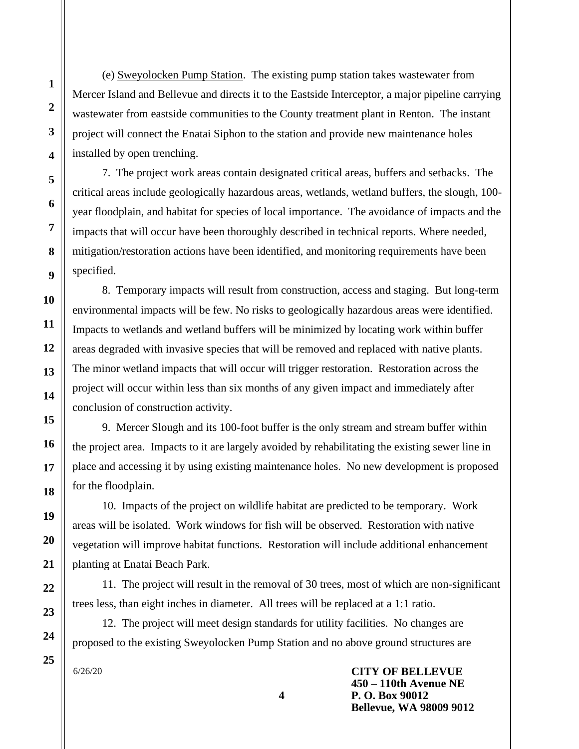(e) Sweyolocken Pump Station. The existing pump station takes wastewater from Mercer Island and Bellevue and directs it to the Eastside Interceptor, a major pipeline carrying wastewater from eastside communities to the County treatment plant in Renton. The instant project will connect the Enatai Siphon to the station and provide new maintenance holes installed by open trenching.

7. The project work areas contain designated critical areas, buffers and setbacks. The critical areas include geologically hazardous areas, wetlands, wetland buffers, the slough, 100year floodplain, and habitat for species of local importance. The avoidance of impacts and the impacts that will occur have been thoroughly described in technical reports. Where needed, mitigation/restoration actions have been identified, and monitoring requirements have been specified.

8. Temporary impacts will result from construction, access and staging. But long-term environmental impacts will be few. No risks to geologically hazardous areas were identified. Impacts to wetlands and wetland buffers will be minimized by locating work within buffer areas degraded with invasive species that will be removed and replaced with native plants. The minor wetland impacts that will occur will trigger restoration. Restoration across the project will occur within less than six months of any given impact and immediately after conclusion of construction activity.

9. Mercer Slough and its 100-foot buffer is the only stream and stream buffer within the project area. Impacts to it are largely avoided by rehabilitating the existing sewer line in place and accessing it by using existing maintenance holes. No new development is proposed for the floodplain.

10. Impacts of the project on wildlife habitat are predicted to be temporary. Work areas will be isolated. Work windows for fish will be observed. Restoration with native vegetation will improve habitat functions. Restoration will include additional enhancement planting at Enatai Beach Park.

11. The project will result in the removal of 30 trees, most of which are non-significant trees less, than eight inches in diameter. All trees will be replaced at a 1:1 ratio.

12. The project will meet design standards for utility facilities. No changes are proposed to the existing Sweyolocken Pump Station and no above ground structures are

**4**

6/26/20

**CITY OF BELLEVUE 450 – 110th Avenue NE P. O. Box 90012 Bellevue, WA 98009 9012**

**1**

**2**

**3**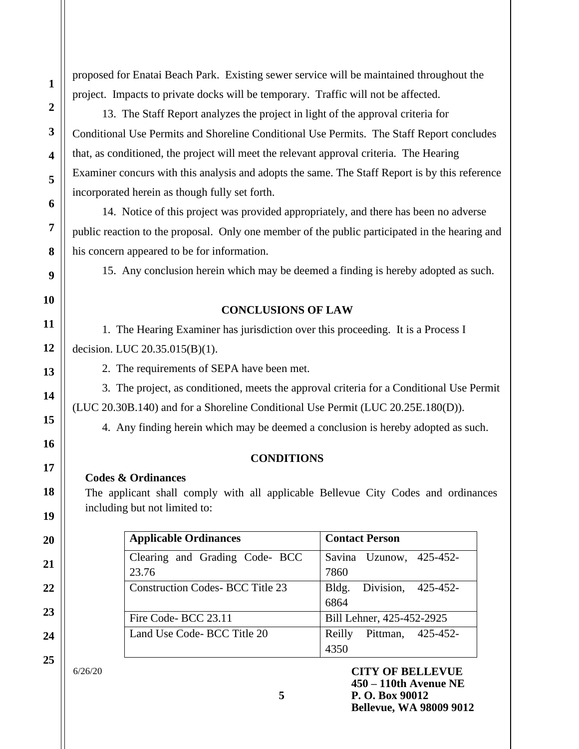proposed for Enatai Beach Park. Existing sewer service will be maintained throughout the project. Impacts to private docks will be temporary. Traffic will not be affected.

13. The Staff Report analyzes the project in light of the approval criteria for Conditional Use Permits and Shoreline Conditional Use Permits. The Staff Report concludes that, as conditioned, the project will meet the relevant approval criteria. The Hearing Examiner concurs with this analysis and adopts the same. The Staff Report is by this reference incorporated herein as though fully set forth.

14. Notice of this project was provided appropriately, and there has been no adverse public reaction to the proposal. Only one member of the public participated in the hearing and his concern appeared to be for information.

15. Any conclusion herein which may be deemed a finding is hereby adopted as such.

# **CONCLUSIONS OF LAW**

1. The Hearing Examiner has jurisdiction over this proceeding. It is a Process I decision. LUC 20.35.015(B)(1).

2. The requirements of SEPA have been met.

3. The project, as conditioned, meets the approval criteria for a Conditional Use Permit (LUC 20.30B.140) and for a Shoreline Conditional Use Permit (LUC 20.25E.180(D)).

4. Any finding herein which may be deemed a conclusion is hereby adopted as such.

# **CONDITIONS**

## **Codes & Ordinances**

The applicant shall comply with all applicable Bellevue City Codes and ordinances including but not limited to:

| <b>Applicable Ordinances</b>           | <b>Contact Person</b>       |
|----------------------------------------|-----------------------------|
| Clearing and Grading Code- BCC         | Savina Uzunow, 425-452-     |
| 23.76                                  | 7860                        |
| <b>Construction Codes-BCC Title 23</b> | Division, 425-452-<br>Bldg. |
|                                        | 6864                        |
| Fire Code-BCC 23.11                    | Bill Lehner, 425-452-2925   |
| Land Use Code-BCC Title 20             | Pittman, 425-452-<br>Reilly |
|                                        |                             |

6/26/20

**1**

**2**

**3**

**4**

**5**

**6**

**7**

**8**

**9**

**10**

**11**

**12**

**13**

**14**

**15**

**16**

**17**

**18**

**19**

**20**

**21**

**22**

**23**

**24**

**25**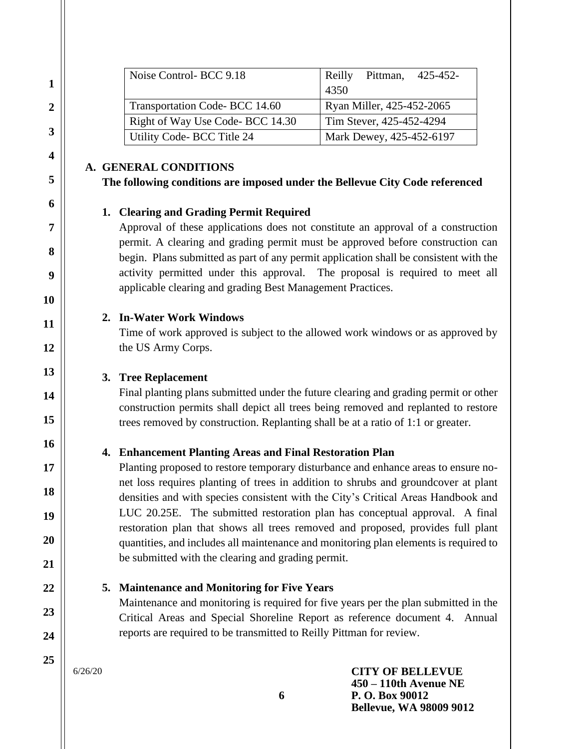| Noise Control-BCC 9.18          | Pittman, 425-452-<br>Reilly |
|---------------------------------|-----------------------------|
|                                 | 4350                        |
| Transportation Code-BCC 14.60   | Ryan Miller, 425-452-2065   |
| Right of Way Use Code-BCC 14.30 | Tim Stever, 425-452-4294    |
| Utility Code-BCC Title 24       | Mark Dewey, 425-452-6197    |

## **A. GENERAL CONDITIONS**

### **The following conditions are imposed under the Bellevue City Code referenced**

### **1. Clearing and Grading Permit Required**

Approval of these applications does not constitute an approval of a construction permit. A clearing and grading permit must be approved before construction can begin. Plans submitted as part of any permit application shall be consistent with the activity permitted under this approval. The proposal is required to meet all applicable clearing and grading Best Management Practices.

## **2. In-Water Work Windows**

Time of work approved is subject to the allowed work windows or as approved by the US Army Corps.

## **3. Tree Replacement**

Final planting plans submitted under the future clearing and grading permit or other construction permits shall depict all trees being removed and replanted to restore trees removed by construction. Replanting shall be at a ratio of 1:1 or greater.

# **4. Enhancement Planting Areas and Final Restoration Plan**

Planting proposed to restore temporary disturbance and enhance areas to ensure nonet loss requires planting of trees in addition to shrubs and groundcover at plant densities and with species consistent with the City's Critical Areas Handbook and LUC 20.25E. The submitted restoration plan has conceptual approval. A final restoration plan that shows all trees removed and proposed, provides full plant quantities, and includes all maintenance and monitoring plan elements is required to be submitted with the clearing and grading permit.

# **5. Maintenance and Monitoring for Five Years**

Maintenance and monitoring is required for five years per the plan submitted in the Critical Areas and Special Shoreline Report as reference document 4. Annual reports are required to be transmitted to Reilly Pittman for review.

6/26/20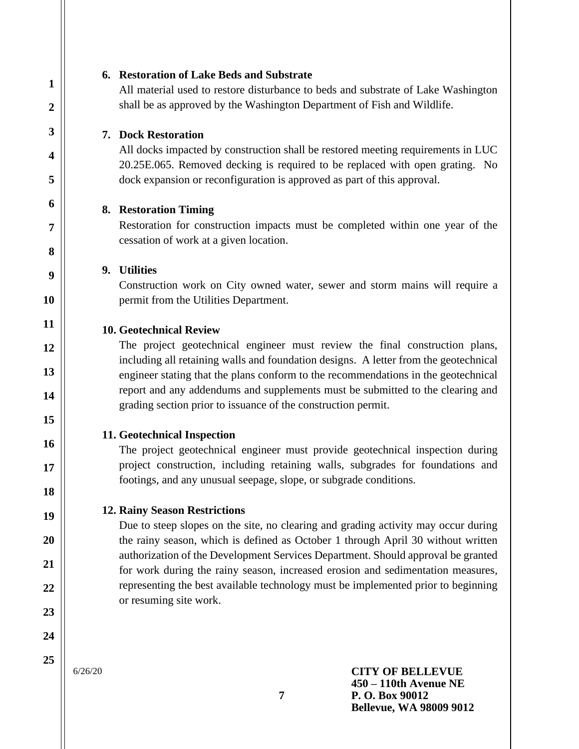#### **6. Restoration of Lake Beds and Substrate**

All material used to restore disturbance to beds and substrate of Lake Washington shall be as approved by the Washington Department of Fish and Wildlife.

#### **7. Dock Restoration**

All docks impacted by construction shall be restored meeting requirements in LUC 20.25E.065. Removed decking is required to be replaced with open grating. No dock expansion or reconfiguration is approved as part of this approval.

#### **8. Restoration Timing**

Restoration for construction impacts must be completed within one year of the cessation of work at a given location.

### **9. Utilities**

Construction work on City owned water, sewer and storm mains will require a permit from the Utilities Department.

#### **10. Geotechnical Review**

The project geotechnical engineer must review the final construction plans, including all retaining walls and foundation designs. A letter from the geotechnical engineer stating that the plans conform to the recommendations in the geotechnical report and any addendums and supplements must be submitted to the clearing and grading section prior to issuance of the construction permit.

#### **11. Geotechnical Inspection**

The project geotechnical engineer must provide geotechnical inspection during project construction, including retaining walls, subgrades for foundations and footings, and any unusual seepage, slope, or subgrade conditions.

#### **12. Rainy Season Restrictions**

Due to steep slopes on the site, no clearing and grading activity may occur during the rainy season, which is defined as October 1 through April 30 without written authorization of the Development Services Department. Should approval be granted for work during the rainy season, increased erosion and sedimentation measures, representing the best available technology must be implemented prior to beginning or resuming site work.

6/26/20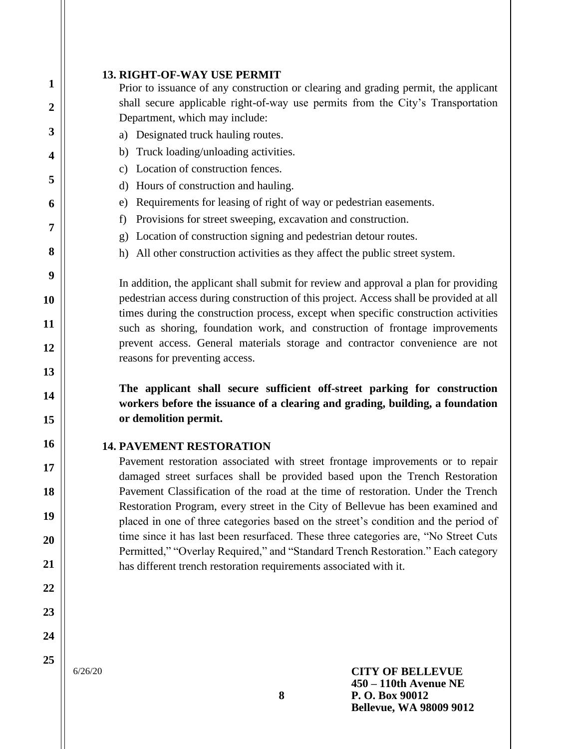Prior to issuance of any construction or clearing and grading permit, the applicant shall secure applicable right-of-way use permits from the City's Transportation Department, which may include:

- a) Designated truck hauling routes.
- b) Truck loading/unloading activities.
- c) Location of construction fences.
- d) Hours of construction and hauling.
- e) Requirements for leasing of right of way or pedestrian easements.
- f) Provisions for street sweeping, excavation and construction.
- g) Location of construction signing and pedestrian detour routes.
- h) All other construction activities as they affect the public street system.

In addition, the applicant shall submit for review and approval a plan for providing pedestrian access during construction of this project. Access shall be provided at all times during the construction process, except when specific construction activities such as shoring, foundation work, and construction of frontage improvements prevent access. General materials storage and contractor convenience are not reasons for preventing access.

**The applicant shall secure sufficient off-street parking for construction workers before the issuance of a clearing and grading, building, a foundation or demolition permit.**

## **14. PAVEMENT RESTORATION**

Pavement restoration associated with street frontage improvements or to repair damaged street surfaces shall be provided based upon the Trench Restoration Pavement Classification of the road at the time of restoration. Under the Trench Restoration Program, every street in the City of Bellevue has been examined and placed in one of three categories based on the street's condition and the period of time since it has last been resurfaced. These three categories are, "No Street Cuts Permitted," "Overlay Required," and "Standard Trench Restoration." Each category has different trench restoration requirements associated with it.

**25**

**1**

**2**

**3**

**4**

**5**

**6**

**7**

**8**

**9**

**10**

**11**

**12**

**13**

**14**

**15**

**16**

**17**

**18**

**19**

**20**

**21**

**22**

**23**

**24**

6/26/20